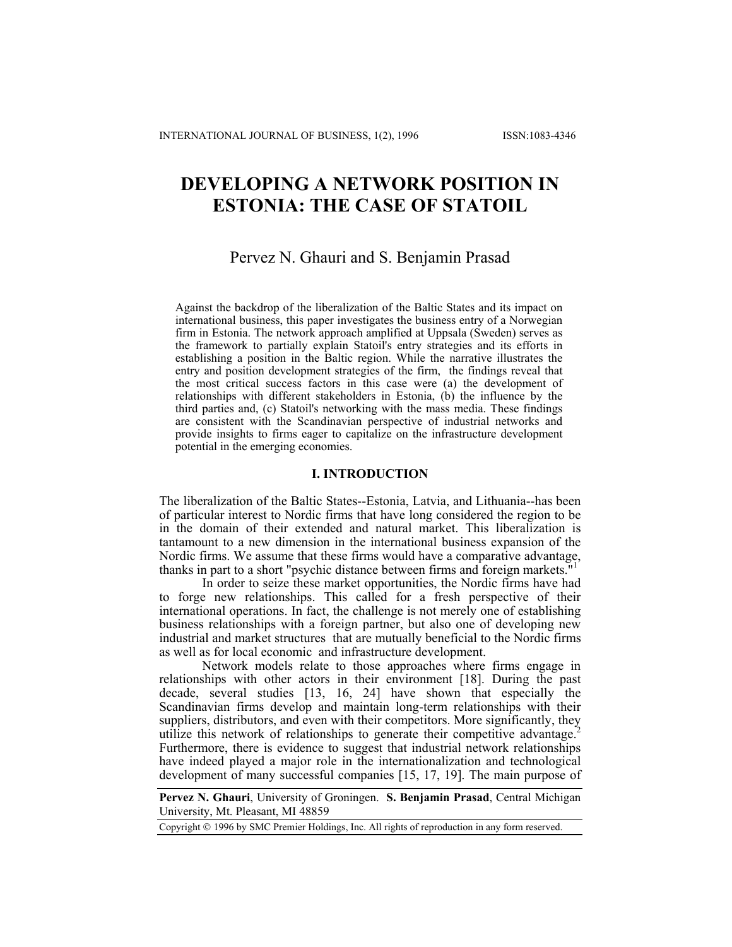# **DEVELOPING A NETWORK POSITION IN ESTONIA: THE CASE OF STATOIL**

# Pervez N. Ghauri and S. Benjamin Prasad

Against the backdrop of the liberalization of the Baltic States and its impact on international business, this paper investigates the business entry of a Norwegian firm in Estonia. The network approach amplified at Uppsala (Sweden) serves as the framework to partially explain Statoil's entry strategies and its efforts in establishing a position in the Baltic region. While the narrative illustrates the entry and position development strategies of the firm, the findings reveal that the most critical success factors in this case were (a) the development of relationships with different stakeholders in Estonia, (b) the influence by the third parties and, (c) Statoil's networking with the mass media. These findings are consistent with the Scandinavian perspective of industrial networks and provide insights to firms eager to capitalize on the infrastructure development potential in the emerging economies.

# **I. INTRODUCTION**

The liberalization of the Baltic States--Estonia, Latvia, and Lithuania--has been of particular interest to Nordic firms that have long considered the region to be in the domain of their extended and natural market. This liberalization is tantamount to a new dimension in the international business expansion of the Nordic firms. We assume that these firms would have a comparative advantage, thanks in part to a short "psychic distance between firms and foreign markets."

In order to seize these market opportunities, the Nordic firms have had to forge new relationships. This called for a fresh perspective of their international operations. In fact, the challenge is not merely one of establishing business relationships with a foreign partner, but also one of developing new industrial and market structures that are mutually beneficial to the Nordic firms as well as for local economic and infrastructure development.

Network models relate to those approaches where firms engage in relationships with other actors in their environment [18]. During the past decade, several studies [13, 16, 24] have shown that especially the Scandinavian firms develop and maintain long-term relationships with their suppliers, distributors, and even with their competitors. More significantly, they utilize this network of relationships to generate their competitive advantage.<sup>2</sup> Furthermore, there is evidence to suggest that industrial network relationships have indeed played a major role in the internationalization and technological development of many successful companies [15, 17, 19]. The main purpose of

**Pervez N. Ghauri**, University of Groningen. **S. Benjamin Prasad**, Central Michigan University, Mt. Pleasant, MI 48859

Copyright 1996 by SMC Premier Holdings, Inc. All rights of reproduction in any form reserved.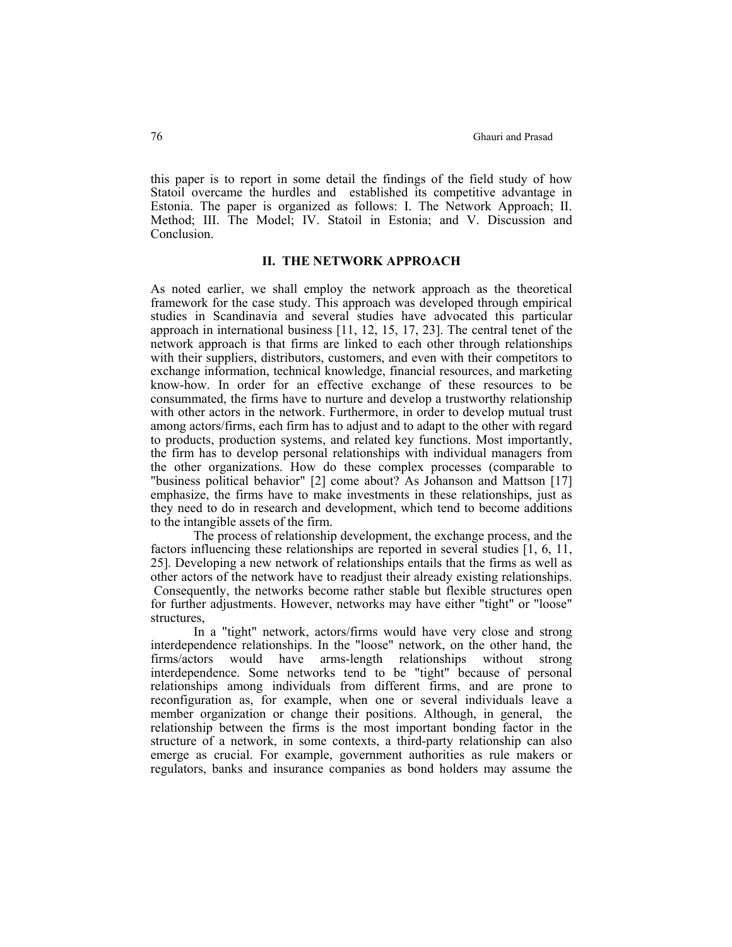this paper is to report in some detail the findings of the field study of how Statoil overcame the hurdles and established its competitive advantage in Estonia. The paper is organized as follows: I. The Network Approach; II. Method; III. The Model; IV. Statoil in Estonia; and V. Discussion and Conclusion.

### **II. THE NETWORK APPROACH**

As noted earlier, we shall employ the network approach as the theoretical framework for the case study. This approach was developed through empirical studies in Scandinavia and several studies have advocated this particular approach in international business [11, 12, 15, 17, 23]. The central tenet of the network approach is that firms are linked to each other through relationships with their suppliers, distributors, customers, and even with their competitors to exchange information, technical knowledge, financial resources, and marketing know-how. In order for an effective exchange of these resources to be consummated, the firms have to nurture and develop a trustworthy relationship with other actors in the network. Furthermore, in order to develop mutual trust among actors/firms, each firm has to adjust and to adapt to the other with regard to products, production systems, and related key functions. Most importantly, the firm has to develop personal relationships with individual managers from the other organizations. How do these complex processes (comparable to "business political behavior" [2] come about? As Johanson and Mattson [17] emphasize, the firms have to make investments in these relationships, just as they need to do in research and development, which tend to become additions to the intangible assets of the firm.

 The process of relationship development, the exchange process, and the factors influencing these relationships are reported in several studies [1, 6, 11, 25]. Developing a new network of relationships entails that the firms as well as other actors of the network have to readjust their already existing relationships. Consequently, the networks become rather stable but flexible structures open for further adjustments. However, networks may have either "tight" or "loose" structures,

 In a "tight" network, actors/firms would have very close and strong interdependence relationships. In the "loose" network, on the other hand, the firms/actors would have arms-length relationships without strong interdependence. Some networks tend to be "tight" because of personal relationships among individuals from different firms, and are prone to reconfiguration as, for example, when one or several individuals leave a member organization or change their positions. Although, in general, the relationship between the firms is the most important bonding factor in the structure of a network, in some contexts, a third-party relationship can also emerge as crucial. For example, government authorities as rule makers or regulators, banks and insurance companies as bond holders may assume the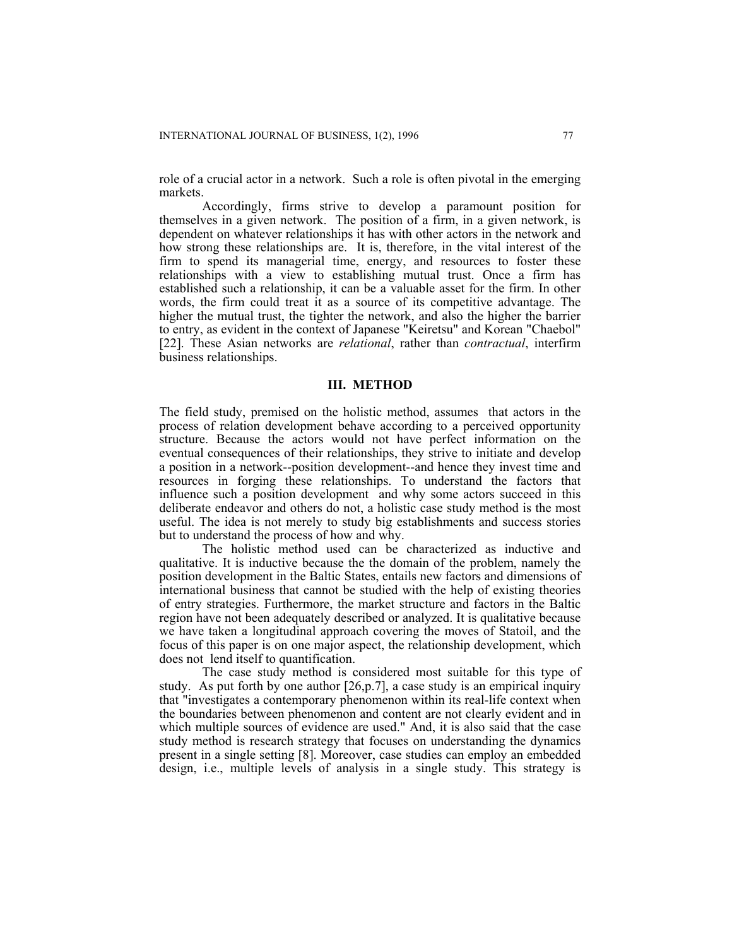role of a crucial actor in a network. Such a role is often pivotal in the emerging markets.

 Accordingly, firms strive to develop a paramount position for themselves in a given network. The position of a firm, in a given network, is dependent on whatever relationships it has with other actors in the network and how strong these relationships are. It is, therefore, in the vital interest of the firm to spend its managerial time, energy, and resources to foster these relationships with a view to establishing mutual trust. Once a firm has established such a relationship, it can be a valuable asset for the firm. In other words, the firm could treat it as a source of its competitive advantage. The higher the mutual trust, the tighter the network, and also the higher the barrier to entry, as evident in the context of Japanese "Keiretsu" and Korean "Chaebol" [22]. These Asian networks are *relational*, rather than *contractual*, interfirm business relationships.

# **III. METHOD**

The field study, premised on the holistic method, assumes that actors in the process of relation development behave according to a perceived opportunity structure. Because the actors would not have perfect information on the eventual consequences of their relationships, they strive to initiate and develop a position in a network--position development--and hence they invest time and resources in forging these relationships. To understand the factors that influence such a position development and why some actors succeed in this deliberate endeavor and others do not, a holistic case study method is the most useful. The idea is not merely to study big establishments and success stories but to understand the process of how and why.

 The holistic method used can be characterized as inductive and qualitative. It is inductive because the the domain of the problem, namely the position development in the Baltic States, entails new factors and dimensions of international business that cannot be studied with the help of existing theories of entry strategies. Furthermore, the market structure and factors in the Baltic region have not been adequately described or analyzed. It is qualitative because we have taken a longitudinal approach covering the moves of Statoil, and the focus of this paper is on one major aspect, the relationship development, which does not lend itself to quantification.

 The case study method is considered most suitable for this type of study. As put forth by one author [26,p.7], a case study is an empirical inquiry that "investigates a contemporary phenomenon within its real-life context when the boundaries between phenomenon and content are not clearly evident and in which multiple sources of evidence are used." And, it is also said that the case study method is research strategy that focuses on understanding the dynamics present in a single setting [8]. Moreover, case studies can employ an embedded design, i.e., multiple levels of analysis in a single study. This strategy is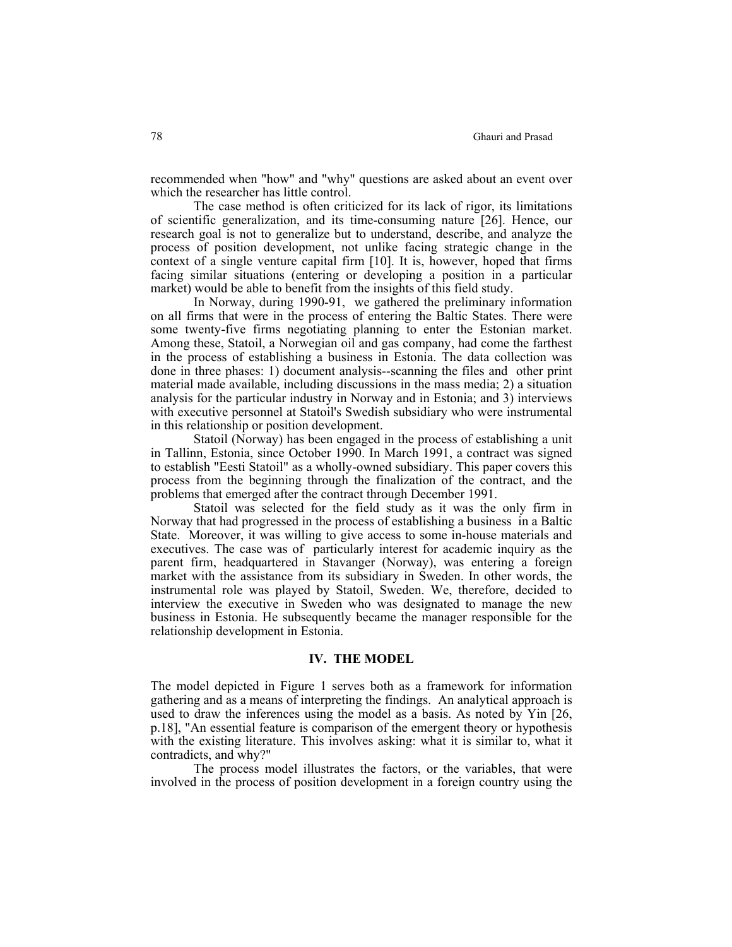recommended when "how" and "why" questions are asked about an event over which the researcher has little control.

 The case method is often criticized for its lack of rigor, its limitations of scientific generalization, and its time-consuming nature [26]. Hence, our research goal is not to generalize but to understand, describe, and analyze the process of position development, not unlike facing strategic change in the context of a single venture capital firm [10]. It is, however, hoped that firms facing similar situations (entering or developing a position in a particular market) would be able to benefit from the insights of this field study.

 In Norway, during 1990-91, we gathered the preliminary information on all firms that were in the process of entering the Baltic States. There were some twenty-five firms negotiating planning to enter the Estonian market. Among these, Statoil, a Norwegian oil and gas company, had come the farthest in the process of establishing a business in Estonia. The data collection was done in three phases: 1) document analysis--scanning the files and other print material made available, including discussions in the mass media; 2) a situation analysis for the particular industry in Norway and in Estonia; and 3) interviews with executive personnel at Statoil's Swedish subsidiary who were instrumental in this relationship or position development.

 Statoil (Norway) has been engaged in the process of establishing a unit in Tallinn, Estonia, since October 1990. In March 1991, a contract was signed to establish "Eesti Statoil" as a wholly-owned subsidiary. This paper covers this process from the beginning through the finalization of the contract, and the problems that emerged after the contract through December 1991.

 Statoil was selected for the field study as it was the only firm in Norway that had progressed in the process of establishing a business in a Baltic State. Moreover, it was willing to give access to some in-house materials and executives. The case was of particularly interest for academic inquiry as the parent firm, headquartered in Stavanger (Norway), was entering a foreign market with the assistance from its subsidiary in Sweden. In other words, the instrumental role was played by Statoil, Sweden. We, therefore, decided to interview the executive in Sweden who was designated to manage the new business in Estonia. He subsequently became the manager responsible for the relationship development in Estonia.

#### **IV. THE MODEL**

The model depicted in Figure 1 serves both as a framework for information gathering and as a means of interpreting the findings. An analytical approach is used to draw the inferences using the model as a basis. As noted by Yin [26, p.18], "An essential feature is comparison of the emergent theory or hypothesis with the existing literature. This involves asking: what it is similar to, what it contradicts, and why?"

 The process model illustrates the factors, or the variables, that were involved in the process of position development in a foreign country using the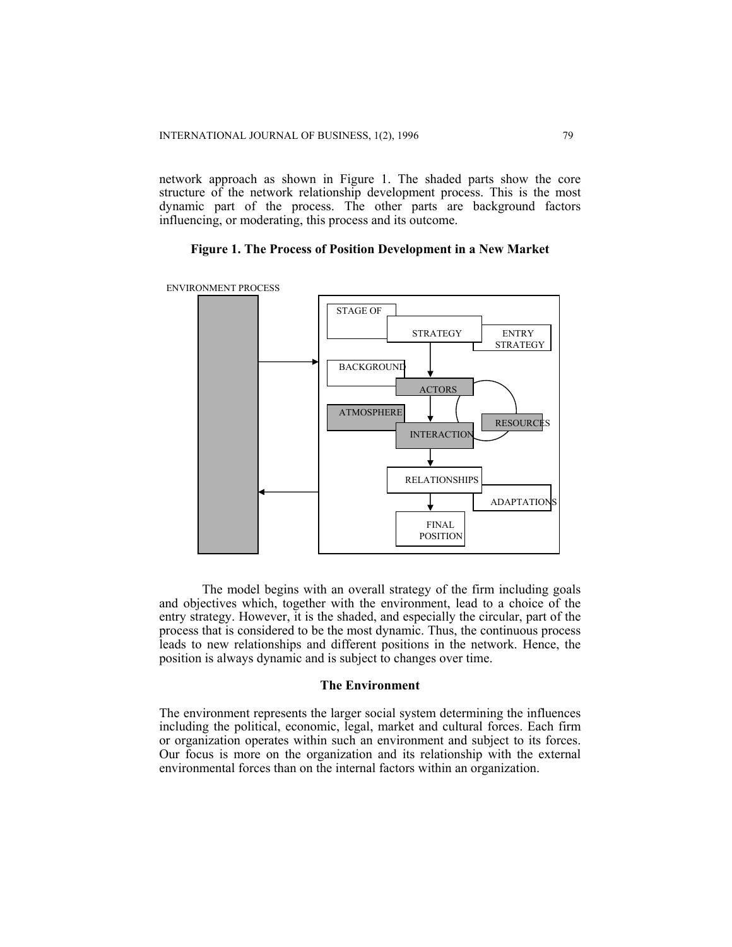network approach as shown in Figure 1. The shaded parts show the core structure of the network relationship development process. This is the most dynamic part of the process. The other parts are background factors influencing, or moderating, this process and its outcome.

#### **Figure 1. The Process of Position Development in a New Market**



The model begins with an overall strategy of the firm including goals and objectives which, together with the environment, lead to a choice of the entry strategy. However, it is the shaded, and especially the circular, part of the process that is considered to be the most dynamic. Thus, the continuous process leads to new relationships and different positions in the network. Hence, the position is always dynamic and is subject to changes over time.

#### **The Environment**

The environment represents the larger social system determining the influences including the political, economic, legal, market and cultural forces. Each firm or organization operates within such an environment and subject to its forces. Our focus is more on the organization and its relationship with the external environmental forces than on the internal factors within an organization.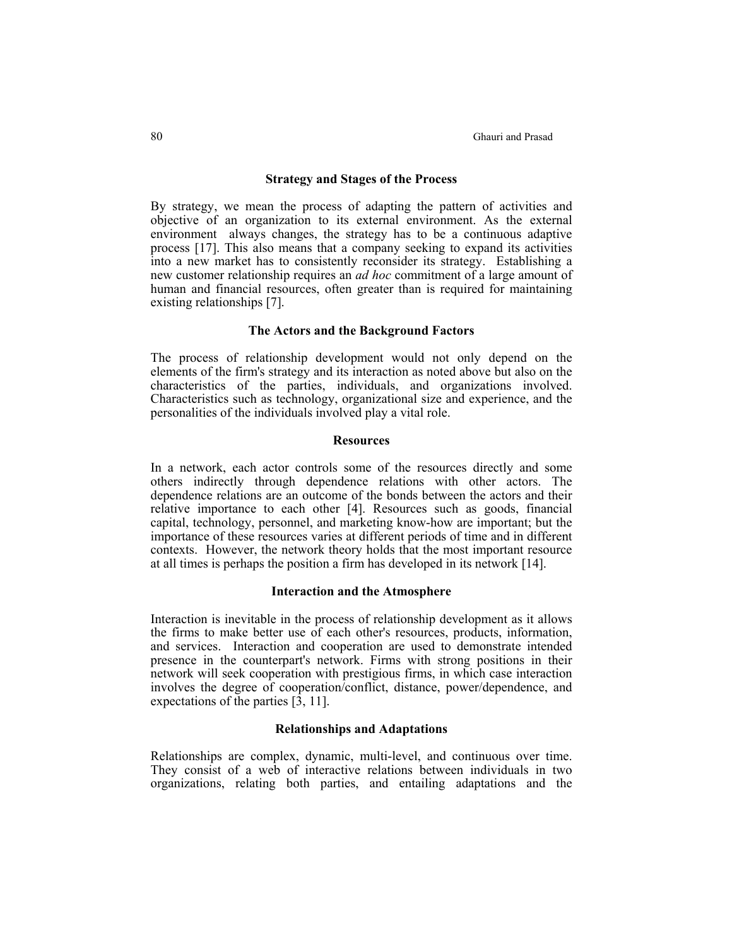#### **Strategy and Stages of the Process**

By strategy, we mean the process of adapting the pattern of activities and objective of an organization to its external environment. As the external environment always changes, the strategy has to be a continuous adaptive process [17]. This also means that a company seeking to expand its activities into a new market has to consistently reconsider its strategy. Establishing a new customer relationship requires an *ad hoc* commitment of a large amount of human and financial resources, often greater than is required for maintaining existing relationships [7].

# **The Actors and the Background Factors**

The process of relationship development would not only depend on the elements of the firm's strategy and its interaction as noted above but also on the characteristics of the parties, individuals, and organizations involved. Characteristics such as technology, organizational size and experience, and the personalities of the individuals involved play a vital role.

# **Resources**

In a network, each actor controls some of the resources directly and some others indirectly through dependence relations with other actors. The dependence relations are an outcome of the bonds between the actors and their relative importance to each other [4]. Resources such as goods, financial capital, technology, personnel, and marketing know-how are important; but the importance of these resources varies at different periods of time and in different contexts. However, the network theory holds that the most important resource at all times is perhaps the position a firm has developed in its network [14].

#### **Interaction and the Atmosphere**

Interaction is inevitable in the process of relationship development as it allows the firms to make better use of each other's resources, products, information, and services. Interaction and cooperation are used to demonstrate intended presence in the counterpart's network. Firms with strong positions in their network will seek cooperation with prestigious firms, in which case interaction involves the degree of cooperation/conflict, distance, power/dependence, and expectations of the parties [3, 11].

#### **Relationships and Adaptations**

Relationships are complex, dynamic, multi-level, and continuous over time. They consist of a web of interactive relations between individuals in two organizations, relating both parties, and entailing adaptations and the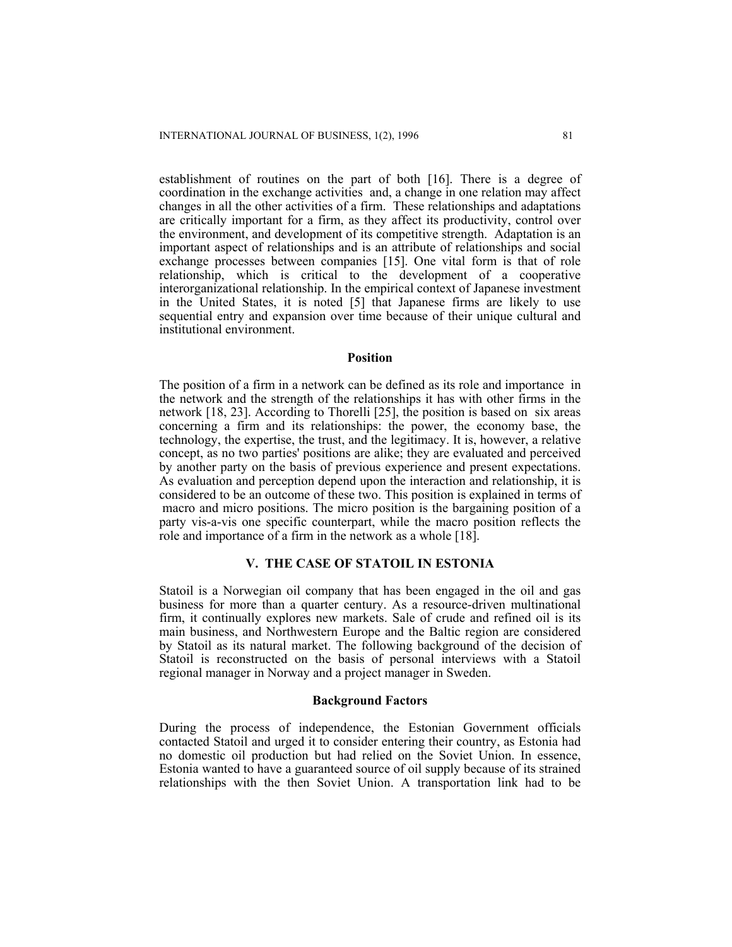establishment of routines on the part of both [16]. There is a degree of coordination in the exchange activities and, a change in one relation may affect changes in all the other activities of a firm. These relationships and adaptations are critically important for a firm, as they affect its productivity, control over the environment, and development of its competitive strength. Adaptation is an important aspect of relationships and is an attribute of relationships and social exchange processes between companies [15]. One vital form is that of role relationship, which is critical to the development of a cooperative interorganizational relationship. In the empirical context of Japanese investment in the United States, it is noted [5] that Japanese firms are likely to use sequential entry and expansion over time because of their unique cultural and institutional environment.

#### **Position**

The position of a firm in a network can be defined as its role and importance in the network and the strength of the relationships it has with other firms in the network [18, 23]. According to Thorelli [25], the position is based on six areas concerning a firm and its relationships: the power, the economy base, the technology, the expertise, the trust, and the legitimacy. It is, however, a relative concept, as no two parties' positions are alike; they are evaluated and perceived by another party on the basis of previous experience and present expectations. As evaluation and perception depend upon the interaction and relationship, it is considered to be an outcome of these two. This position is explained in terms of macro and micro positions. The micro position is the bargaining position of a party vis-a-vis one specific counterpart, while the macro position reflects the role and importance of a firm in the network as a whole [18].

# **V. THE CASE OF STATOIL IN ESTONIA**

Statoil is a Norwegian oil company that has been engaged in the oil and gas business for more than a quarter century. As a resource-driven multinational firm, it continually explores new markets. Sale of crude and refined oil is its main business, and Northwestern Europe and the Baltic region are considered by Statoil as its natural market. The following background of the decision of Statoil is reconstructed on the basis of personal interviews with a Statoil regional manager in Norway and a project manager in Sweden.

#### **Background Factors**

During the process of independence, the Estonian Government officials contacted Statoil and urged it to consider entering their country, as Estonia had no domestic oil production but had relied on the Soviet Union. In essence, Estonia wanted to have a guaranteed source of oil supply because of its strained relationships with the then Soviet Union. A transportation link had to be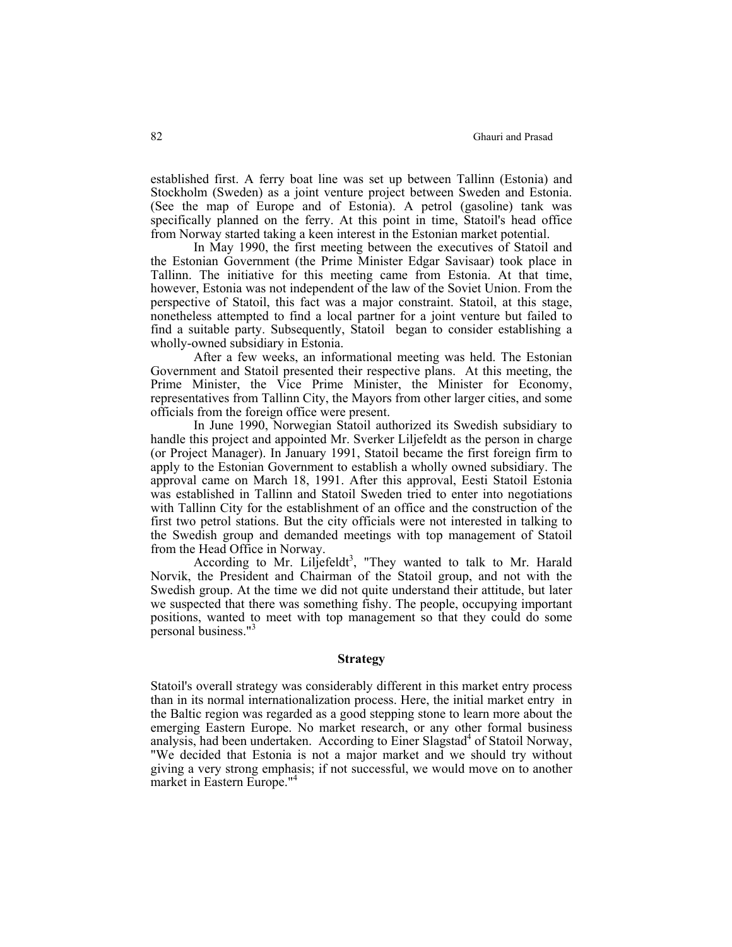established first. A ferry boat line was set up between Tallinn (Estonia) and Stockholm (Sweden) as a joint venture project between Sweden and Estonia. (See the map of Europe and of Estonia). A petrol (gasoline) tank was specifically planned on the ferry. At this point in time, Statoil's head office from Norway started taking a keen interest in the Estonian market potential.

 In May 1990, the first meeting between the executives of Statoil and the Estonian Government (the Prime Minister Edgar Savisaar) took place in Tallinn. The initiative for this meeting came from Estonia. At that time, however, Estonia was not independent of the law of the Soviet Union. From the perspective of Statoil, this fact was a major constraint. Statoil, at this stage, nonetheless attempted to find a local partner for a joint venture but failed to find a suitable party. Subsequently, Statoil began to consider establishing a wholly-owned subsidiary in Estonia.

 After a few weeks, an informational meeting was held. The Estonian Government and Statoil presented their respective plans. At this meeting, the Prime Minister, the Vice Prime Minister, the Minister for Economy, representatives from Tallinn City, the Mayors from other larger cities, and some officials from the foreign office were present.

 In June 1990, Norwegian Statoil authorized its Swedish subsidiary to handle this project and appointed Mr. Sverker Liljefeldt as the person in charge (or Project Manager). In January 1991, Statoil became the first foreign firm to apply to the Estonian Government to establish a wholly owned subsidiary. The approval came on March 18, 1991. After this approval, Eesti Statoil Estonia was established in Tallinn and Statoil Sweden tried to enter into negotiations with Tallinn City for the establishment of an office and the construction of the first two petrol stations. But the city officials were not interested in talking to the Swedish group and demanded meetings with top management of Statoil from the Head Office in Norway.

According to Mr. Liljefeldt<sup>3</sup>, "They wanted to talk to Mr. Harald Norvik, the President and Chairman of the Statoil group, and not with the Swedish group. At the time we did not quite understand their attitude, but later we suspected that there was something fishy. The people, occupying important positions, wanted to meet with top management so that they could do some personal business."<sup>3</sup>

#### **Strategy**

Statoil's overall strategy was considerably different in this market entry process than in its normal internationalization process. Here, the initial market entry in the Baltic region was regarded as a good stepping stone to learn more about the emerging Eastern Europe. No market research, or any other formal business analysis, had been undertaken. According to Einer Slagstad<sup>4</sup> of Statoil Norway, "We decided that Estonia is not a major market and we should try without giving a very strong emphasis; if not successful, we would move on to another market in Eastern Europe."4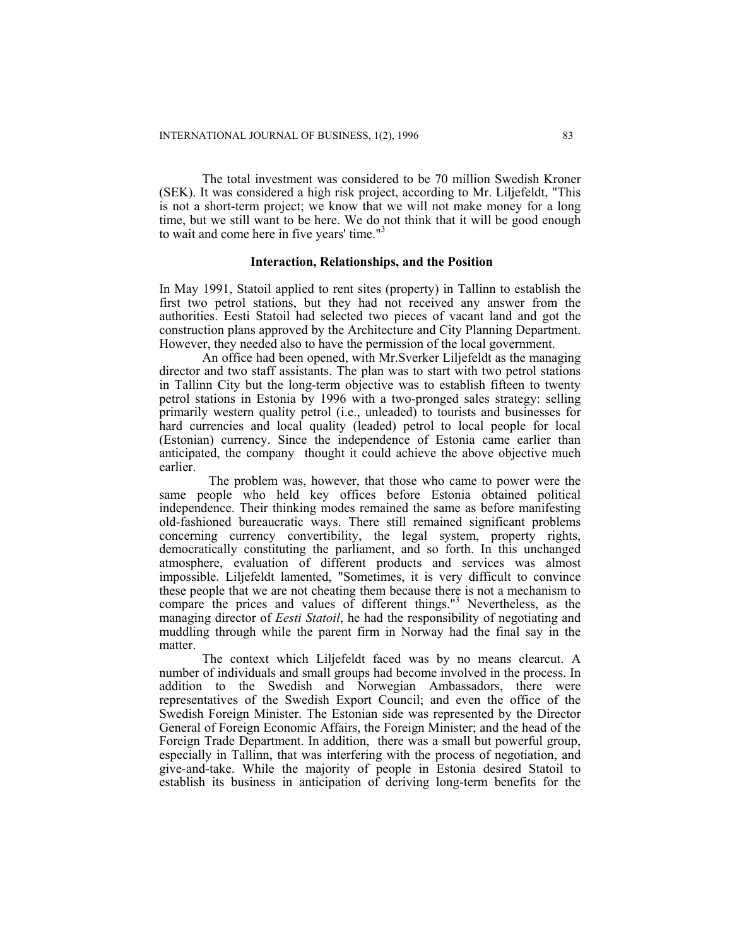The total investment was considered to be 70 million Swedish Kroner (SEK). It was considered a high risk project, according to Mr. Liljefeldt, "This is not a short-term project; we know that we will not make money for a long time, but we still want to be here. We do not think that it will be good enough to wait and come here in five years' time."3

### **Interaction, Relationships, and the Position**

In May 1991, Statoil applied to rent sites (property) in Tallinn to establish the first two petrol stations, but they had not received any answer from the authorities. Eesti Statoil had selected two pieces of vacant land and got the construction plans approved by the Architecture and City Planning Department. However, they needed also to have the permission of the local government.

 An office had been opened, with Mr.Sverker Liljefeldt as the managing director and two staff assistants. The plan was to start with two petrol stations in Tallinn City but the long-term objective was to establish fifteen to twenty petrol stations in Estonia by 1996 with a two-pronged sales strategy: selling primarily western quality petrol (i.e., unleaded) to tourists and businesses for hard currencies and local quality (leaded) petrol to local people for local (Estonian) currency. Since the independence of Estonia came earlier than anticipated, the company thought it could achieve the above objective much earlier.

 The problem was, however, that those who came to power were the same people who held key offices before Estonia obtained political independence. Their thinking modes remained the same as before manifesting old-fashioned bureaucratic ways. There still remained significant problems concerning currency convertibility, the legal system, property rights, democratically constituting the parliament, and so forth. In this unchanged atmosphere, evaluation of different products and services was almost impossible. Liljefeldt lamented, "Sometimes, it is very difficult to convince these people that we are not cheating them because there is not a mechanism to compare the prices and values of different things."<sup>3</sup> Nevertheless, as the managing director of *Eesti Statoil*, he had the responsibility of negotiating and muddling through while the parent firm in Norway had the final say in the matter.

 The context which Liljefeldt faced was by no means clearcut. A number of individuals and small groups had become involved in the process. In addition to the Swedish and Norwegian Ambassadors, there were representatives of the Swedish Export Council; and even the office of the Swedish Foreign Minister. The Estonian side was represented by the Director General of Foreign Economic Affairs, the Foreign Minister; and the head of the Foreign Trade Department. In addition, there was a small but powerful group, especially in Tallinn, that was interfering with the process of negotiation, and give-and-take. While the majority of people in Estonia desired Statoil to establish its business in anticipation of deriving long-term benefits for the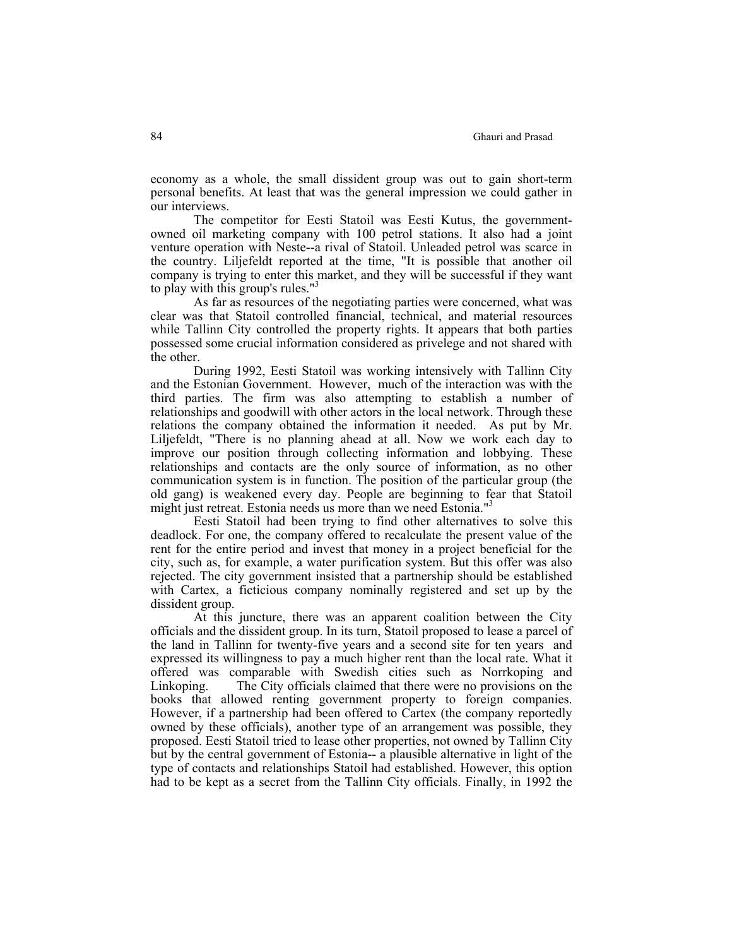economy as a whole, the small dissident group was out to gain short-term personal benefits. At least that was the general impression we could gather in our interviews.

 The competitor for Eesti Statoil was Eesti Kutus, the governmentowned oil marketing company with 100 petrol stations. It also had a joint venture operation with Neste--a rival of Statoil. Unleaded petrol was scarce in the country. Liljefeldt reported at the time, "It is possible that another oil company is trying to enter this market, and they will be successful if they want to play with this group's rules."<sup>3</sup>

 As far as resources of the negotiating parties were concerned, what was clear was that Statoil controlled financial, technical, and material resources while Tallinn City controlled the property rights. It appears that both parties possessed some crucial information considered as privelege and not shared with the other.

 During 1992, Eesti Statoil was working intensively with Tallinn City and the Estonian Government. However, much of the interaction was with the third parties. The firm was also attempting to establish a number of relationships and goodwill with other actors in the local network. Through these relations the company obtained the information it needed. As put by Mr. Liljefeldt, "There is no planning ahead at all. Now we work each day to improve our position through collecting information and lobbying. These relationships and contacts are the only source of information, as no other communication system is in function. The position of the particular group (the old gang) is weakened every day. People are beginning to fear that Statoil might just retreat. Estonia needs us more than we need Estonia."<sup>3</sup>

 Eesti Statoil had been trying to find other alternatives to solve this deadlock. For one, the company offered to recalculate the present value of the rent for the entire period and invest that money in a project beneficial for the city, such as, for example, a water purification system. But this offer was also rejected. The city government insisted that a partnership should be established with Cartex, a ficticious company nominally registered and set up by the dissident group.

 At this juncture, there was an apparent coalition between the City officials and the dissident group. In its turn, Statoil proposed to lease a parcel of the land in Tallinn for twenty-five years and a second site for ten years and expressed its willingness to pay a much higher rent than the local rate. What it offered was comparable with Swedish cities such as Norrkoping and Linkoping. The City officials claimed that there were no provisions on the books that allowed renting government property to foreign companies. However, if a partnership had been offered to Cartex (the company reportedly owned by these officials), another type of an arrangement was possible, they proposed. Eesti Statoil tried to lease other properties, not owned by Tallinn City but by the central government of Estonia-- a plausible alternative in light of the type of contacts and relationships Statoil had established. However, this option had to be kept as a secret from the Tallinn City officials. Finally, in 1992 the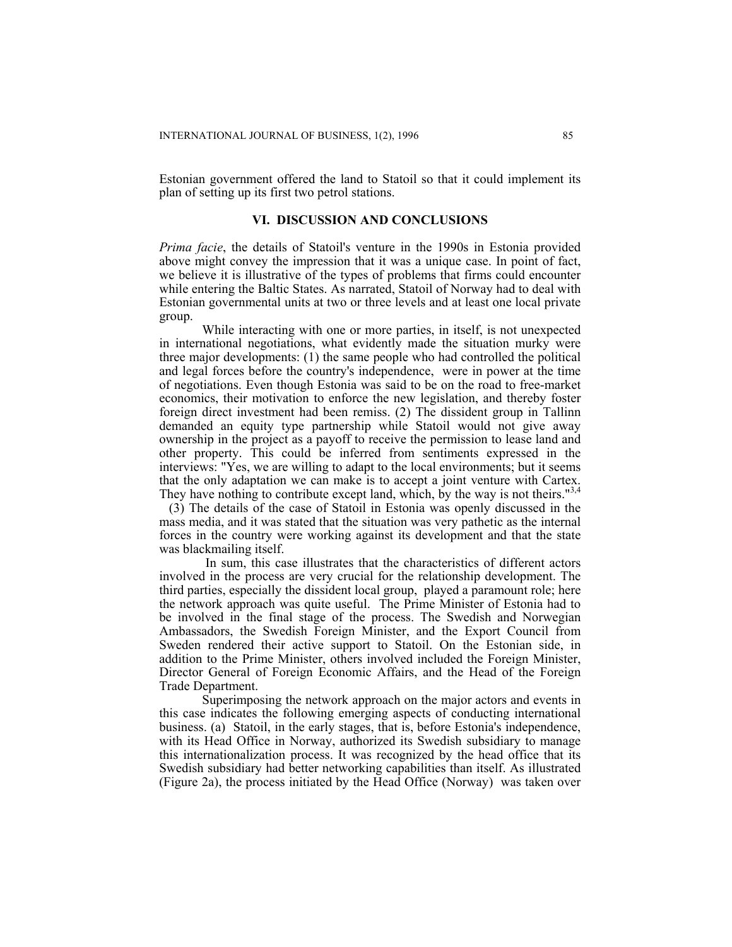Estonian government offered the land to Statoil so that it could implement its plan of setting up its first two petrol stations.

# **VI. DISCUSSION AND CONCLUSIONS**

*Prima facie*, the details of Statoil's venture in the 1990s in Estonia provided above might convey the impression that it was a unique case. In point of fact, we believe it is illustrative of the types of problems that firms could encounter while entering the Baltic States. As narrated, Statoil of Norway had to deal with Estonian governmental units at two or three levels and at least one local private group.

 While interacting with one or more parties, in itself, is not unexpected in international negotiations, what evidently made the situation murky were three major developments: (1) the same people who had controlled the political and legal forces before the country's independence, were in power at the time of negotiations. Even though Estonia was said to be on the road to free-market economics, their motivation to enforce the new legislation, and thereby foster foreign direct investment had been remiss. (2) The dissident group in Tallinn demanded an equity type partnership while Statoil would not give away ownership in the project as a payoff to receive the permission to lease land and other property. This could be inferred from sentiments expressed in the interviews: "Yes, we are willing to adapt to the local environments; but it seems that the only adaptation we can make is to accept a joint venture with Cartex. They have nothing to contribute except land, which, by the way is not theirs."<sup>3,</sup>

 (3) The details of the case of Statoil in Estonia was openly discussed in the mass media, and it was stated that the situation was very pathetic as the internal forces in the country were working against its development and that the state was blackmailing itself.

 In sum, this case illustrates that the characteristics of different actors involved in the process are very crucial for the relationship development. The third parties, especially the dissident local group, played a paramount role; here the network approach was quite useful. The Prime Minister of Estonia had to be involved in the final stage of the process. The Swedish and Norwegian Ambassadors, the Swedish Foreign Minister, and the Export Council from Sweden rendered their active support to Statoil. On the Estonian side, in addition to the Prime Minister, others involved included the Foreign Minister, Director General of Foreign Economic Affairs, and the Head of the Foreign Trade Department.

 Superimposing the network approach on the major actors and events in this case indicates the following emerging aspects of conducting international business. (a) Statoil, in the early stages, that is, before Estonia's independence, with its Head Office in Norway, authorized its Swedish subsidiary to manage this internationalization process. It was recognized by the head office that its Swedish subsidiary had better networking capabilities than itself. As illustrated (Figure 2a), the process initiated by the Head Office (Norway) was taken over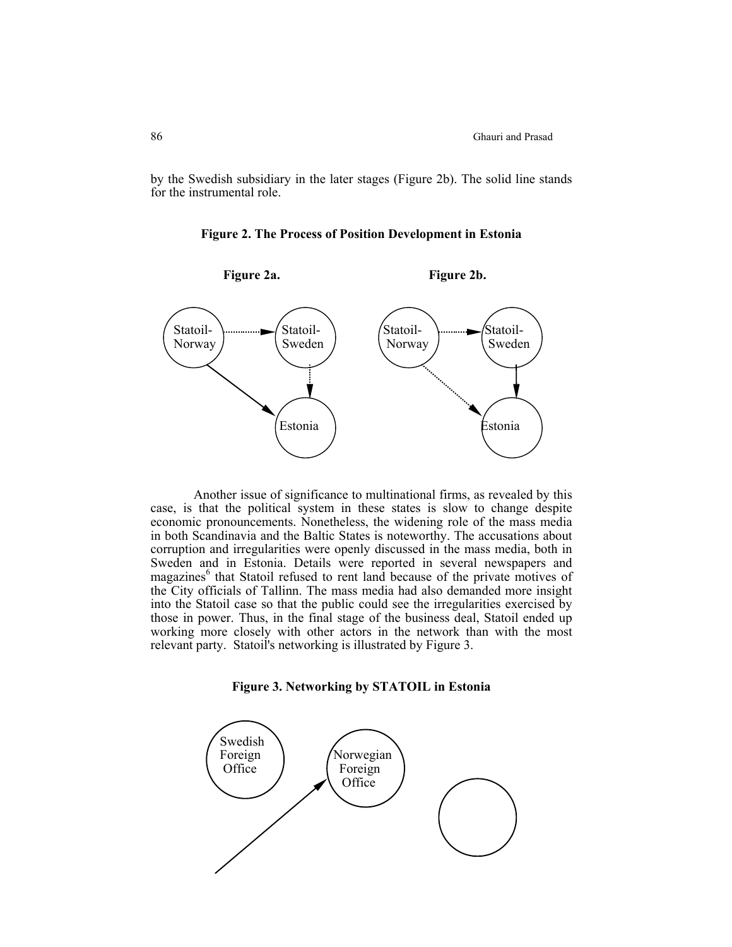by the Swedish subsidiary in the later stages (Figure 2b). The solid line stands for the instrumental role.





Another issue of significance to multinational firms, as revealed by this case, is that the political system in these states is slow to change despite economic pronouncements. Nonetheless, the widening role of the mass media in both Scandinavia and the Baltic States is noteworthy. The accusations about corruption and irregularities were openly discussed in the mass media, both in Sweden and in Estonia. Details were reported in several newspapers and magazines<sup>6</sup> that Statoil refused to rent land because of the private motives of the City officials of Tallinn. The mass media had also demanded more insight into the Statoil case so that the public could see the irregularities exercised by those in power. Thus, in the final stage of the business deal, Statoil ended up working more closely with other actors in the network than with the most relevant party. Statoil's networking is illustrated by Figure 3.

**Figure 3. Networking by STATOIL in Estonia**

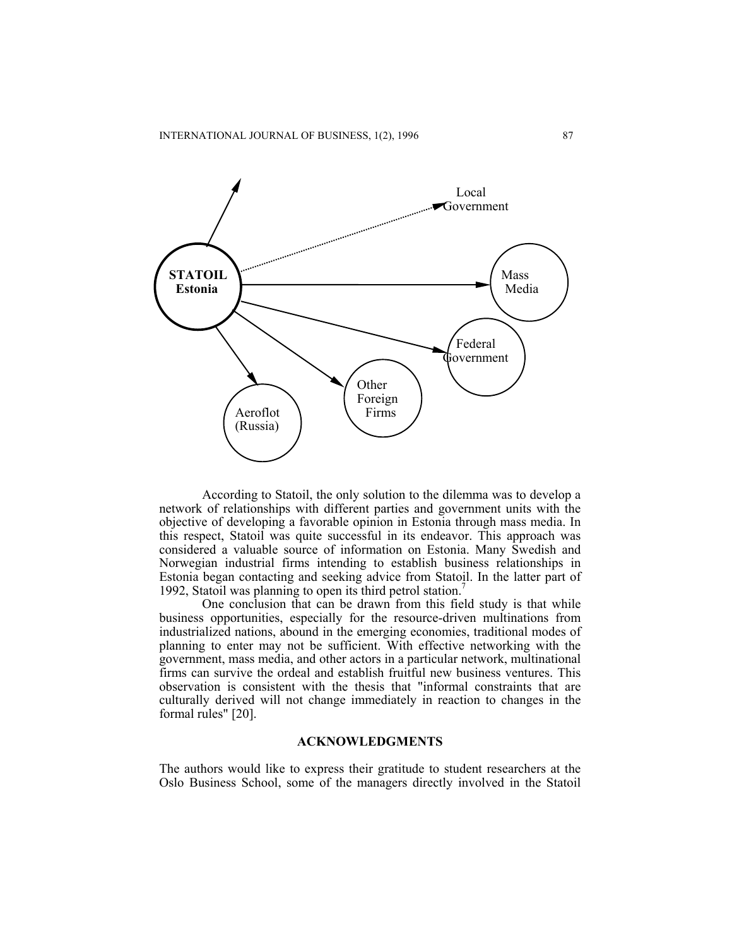

According to Statoil, the only solution to the dilemma was to develop a network of relationships with different parties and government units with the objective of developing a favorable opinion in Estonia through mass media. In this respect, Statoil was quite successful in its endeavor. This approach was considered a valuable source of information on Estonia. Many Swedish and Norwegian industrial firms intending to establish business relationships in Estonia began contacting and seeking advice from Statoil. In the latter part of 1992, Statoil was planning to open its third petrol station.<sup>7</sup>

One conclusion that can be drawn from this field study is that while business opportunities, especially for the resource-driven multinations from industrialized nations, abound in the emerging economies, traditional modes of planning to enter may not be sufficient. With effective networking with the government, mass media, and other actors in a particular network, multinational firms can survive the ordeal and establish fruitful new business ventures. This observation is consistent with the thesis that "informal constraints that are culturally derived will not change immediately in reaction to changes in the formal rules" [20].

#### **ACKNOWLEDGMENTS**

The authors would like to express their gratitude to student researchers at the Oslo Business School, some of the managers directly involved in the Statoil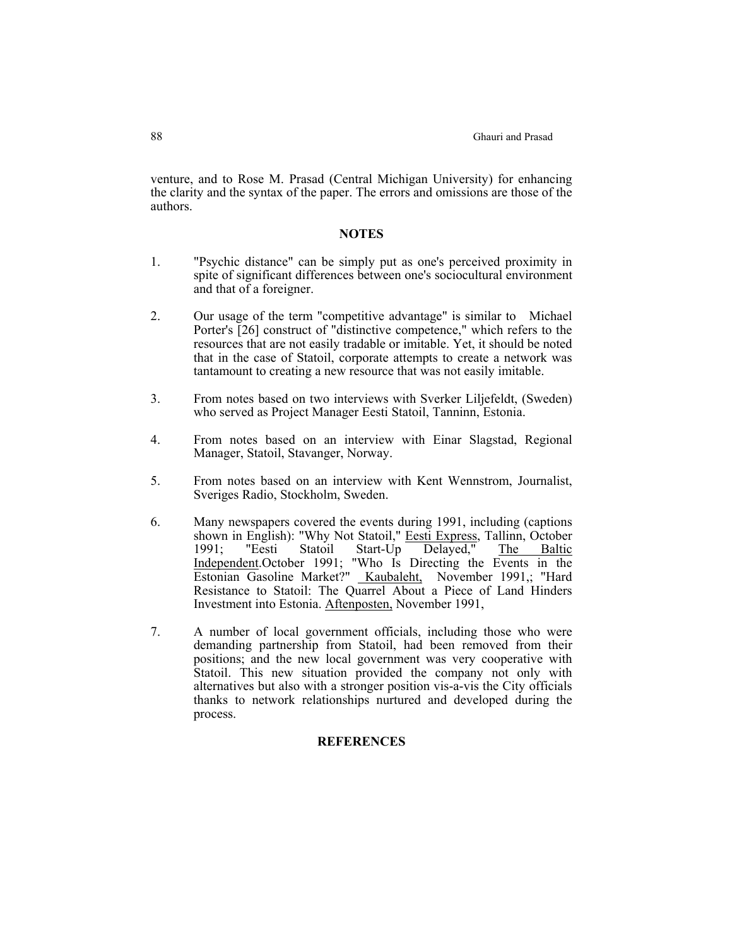venture, and to Rose M. Prasad (Central Michigan University) for enhancing the clarity and the syntax of the paper. The errors and omissions are those of the authors.

#### **NOTES**

- 1. "Psychic distance" can be simply put as one's perceived proximity in spite of significant differences between one's sociocultural environment and that of a foreigner.
- 2. Our usage of the term "competitive advantage" is similar to Michael Porter's [26] construct of "distinctive competence," which refers to the resources that are not easily tradable or imitable. Yet, it should be noted that in the case of Statoil, corporate attempts to create a network was tantamount to creating a new resource that was not easily imitable.
- 3. From notes based on two interviews with Sverker Liljefeldt, (Sweden) who served as Project Manager Eesti Statoil, Tanninn, Estonia.
- 4. From notes based on an interview with Einar Slagstad, Regional Manager, Statoil, Stavanger, Norway.
- 5. From notes based on an interview with Kent Wennstrom, Journalist, Sveriges Radio, Stockholm, Sweden.
- 6. Many newspapers covered the events during 1991, including (captions shown in English): "Why Not Statoil," Eesti Express, Tallinn, October 1991; "Eesti Statoil Start-Up Delayed," The Baltic Independent.October 1991; "Who Is Directing the Events in the Estonian Gasoline Market?" Kaubaleht, November 1991,; "Hard Resistance to Statoil: The Quarrel About a Piece of Land Hinders Investment into Estonia. Aftenposten, November 1991,
- 7. A number of local government officials, including those who were demanding partnership from Statoil, had been removed from their positions; and the new local government was very cooperative with Statoil. This new situation provided the company not only with alternatives but also with a stronger position vis-a-vis the City officials thanks to network relationships nurtured and developed during the process.

# **REFERENCES**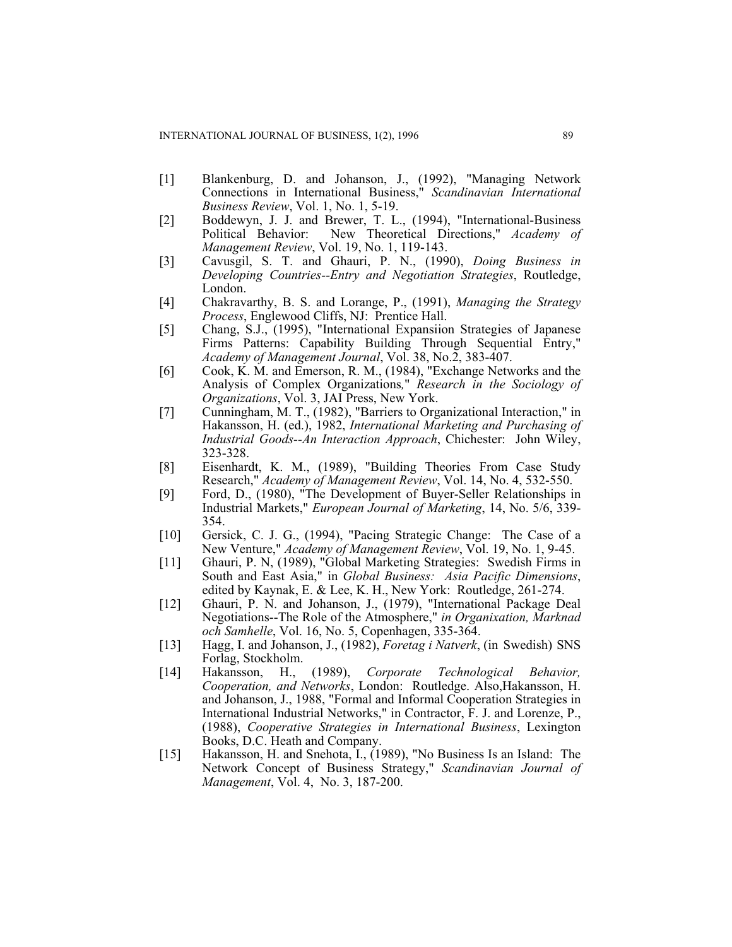- [1] Blankenburg, D. and Johanson, J., (1992), "Managing Network Connections in International Business," *Scandinavian International Business Review*, Vol. 1, No. 1, 5-19.
- [2] Boddewyn, J. J. and Brewer, T. L., (1994), "International-Business Political Behavior: New Theoretical Directions," *Academy of Management Review*, Vol. 19, No. 1, 119-143.
- [3] Cavusgil, S. T. and Ghauri, P. N., (1990), *Doing Business in Developing Countries--Entry and Negotiation Strategies*, Routledge, London.
- [4] Chakravarthy, B. S. and Lorange, P., (1991), *Managing the Strategy Process*, Englewood Cliffs, NJ: Prentice Hall.
- [5] Chang, S.J., (1995), "International Expansiion Strategies of Japanese Firms Patterns: Capability Building Through Sequential Entry," *Academy of Management Journal*, Vol. 38, No.2, 383-407.
- [6] Cook, K. M. and Emerson, R. M., (1984), "Exchange Networks and the Analysis of Complex Organizations*,*" *Research in the Sociology of Organizations*, Vol. 3, JAI Press, New York.
- [7] Cunningham, M. T., (1982), "Barriers to Organizational Interaction," in Hakansson, H. (ed.), 1982, *International Marketing and Purchasing of Industrial Goods--An Interaction Approach*, Chichester: John Wiley, 323-328.
- [8] Eisenhardt, K. M., (1989), "Building Theories From Case Study Research," *Academy of Management Review*, Vol. 14, No. 4, 532-550.
- [9] Ford, D., (1980), "The Development of Buyer-Seller Relationships in Industrial Markets," *European Journal of Marketing*, 14, No. 5/6, 339- 354.
- [10] Gersick, C. J. G., (1994), "Pacing Strategic Change: The Case of a New Venture," *Academy of Management Review*, Vol. 19, No. 1, 9-45.
- [11] Ghauri, P. N, (1989), "Global Marketing Strategies: Swedish Firms in South and East Asia," in *Global Business: Asia Pacific Dimensions*, edited by Kaynak, E. & Lee, K. H., New York: Routledge, 261-274.
- [12] Ghauri, P. N. and Johanson, J., (1979), "International Package Deal Negotiations--The Role of the Atmosphere," *in Organixation, Marknad och Samhelle*, Vol. 16, No. 5, Copenhagen, 335-364.
- [13] Hagg, I. and Johanson, J., (1982), *Foretag i Natverk*, (in Swedish) SNS Forlag, Stockholm.
- [14] Hakansson, H., (1989), *Corporate Technological Behavior, Cooperation, and Networks*, London: Routledge. Also,Hakansson, H. and Johanson, J., 1988, "Formal and Informal Cooperation Strategies in International Industrial Networks," in Contractor, F. J. and Lorenze, P., (1988), *Cooperative Strategies in International Business*, Lexington Books, D.C. Heath and Company.
- [15] Hakansson, H. and Snehota, I., (1989), "No Business Is an Island: The Network Concept of Business Strategy," *Scandinavian Journal of Management*, Vol. 4, No. 3, 187-200.